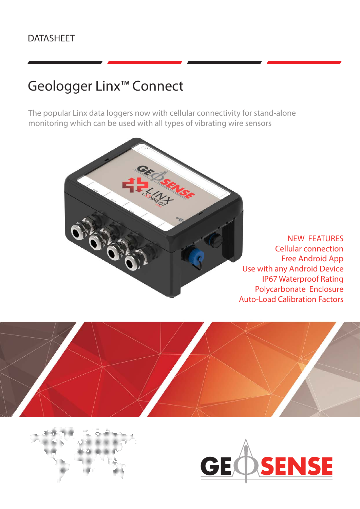## DATASHEET

# Geologger Linx™ Connect

The popular Linx data loggers now with cellular connectivity for stand-alone monitoring which can be used with all types of vibrating wire sensors







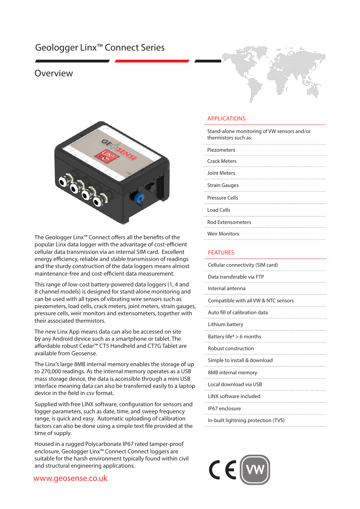## Geologger Linx™ Connect Series

### Overview



The Geologger Linx™ Connect offers all the benefits of the popular Linx data logger with the advantage of cost-efficient cellular data transmission via an internal SIM card. Excellent energy efficiency, reliable and stable transmission of readings and the sturdy construction of the data loggers means almost maintenance-free and cost-efficient data measurement.

This range of low-cost battery-powered data loggers (1, 4 and 8 channel models) is designed for stand-alone monitoring and can be used with all types of vibrating wire sensors such as piezometers, load cells, crack meters, joint meters, strain gauges, pressure cells, weir monitors and extensometers, together with their associated thermistors.

The new Linx App means data can also be accessed on site by any Android device such as a smartphone or tablet. The affordable robust Cedar™ CT5 Handheld and CT7G Tablet are available from Geosense.

The Linx's large 8MB internal memory enables the storage of up to 270,000 readings. As the internal memory operates as a USB mass storage device, the data is accessible through a mini USB interface meaning data can also be transferred easily to a laptop device in the field in csv format.

Supplied with free LINX software, configuration for sensors and logger parameters, such as date, time, and sweep frequency range, is quick and easy. Automatic uploading of calibration factors can also be done using a simple text file provided at the time of supply.

Housed in a rugged Polycarbonate IP67 rated tamper-proof enclosure, Geologger Linx™ Connect Connect loggers are suitable for the harsh environment typically found within civil and structural engineering applications.

### www.geosense.co.uk



### APPLICATIONS

Stand-alone monitoring of VW sensors and/or thermistors such as:

Piezometers

Crack Meters

Joint Meters

Strain Gauges

Pressure Cells

Load Cells

Rod Extensometers

Weir Monitors

#### FEATURES

Cellular connectivity (SIM card) Data transferable via FTP Internal antenna Compatible with all VW & NTC sensors Auto fill of calibration data Lithium battery Battery life<sup>4</sup>  $> 6$  months Robust construction Simple to install & download 8MB internal memory Local download via USB LINX software included

IP67 enclosure

In-built lightning protection (TVS)

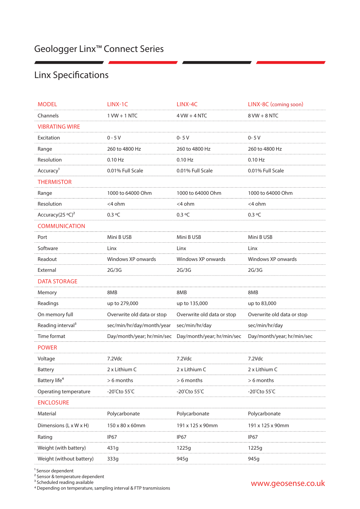## Linx Specifications

| <b>MODEL</b>                  | LINX-1C                    | LINX-4C                    | LINX-8C (coming soon)      |
|-------------------------------|----------------------------|----------------------------|----------------------------|
| Channels                      | $1$ VW + 1 NTC             | $4$ VW + 4 NTC             | $8$ VW + $8$ NTC           |
| <b>VIBRATING WIRE</b>         |                            |                            |                            |
| Excitation                    | $0 - 5V$                   | $0 - 5V$                   | $0 - 5V$                   |
| Range                         | 260 to 4800 Hz             | 260 to 4800 Hz             | 260 to 4800 Hz             |
| Resolution                    | 0.10 Hz                    | $0.10$ Hz                  | 0.10 Hz                    |
| Accuracy <sup>1</sup>         | 0.01% Full Scale           | 0.01% Full Scale           | 0.01% Full Scale           |
| <b>THERMISTOR</b>             |                            |                            |                            |
| Range                         | 1000 to 64000 Ohm          | 1000 to 64000 Ohm          | 1000 to 64000 Ohm          |
| Resolution                    | <4 ohm                     | <4 ohm                     | <4 ohm                     |
| Accuracy(25 °C) <sup>2</sup>  | $0.3$ °C                   | $0.3$ °C                   | $0.3$ °C                   |
| <b>COMMUNICATION</b>          |                            |                            |                            |
| Port                          | Mini B USB                 | Mini B USB                 | Mini B USB                 |
| Software                      | Linx                       | Linx                       | Linx                       |
| Readout                       | Windows XP onwards         | Windows XP onwards         | Windows XP onwards         |
| External                      | 2G/3G                      | 2G/3G                      | 2G/3G                      |
| <b>DATA STORAGE</b>           |                            |                            |                            |
| Memory                        | 8MB                        | 8MB                        | 8MB                        |
| Readings                      | up to 279,000              | up to 135,000              | up to 83,000               |
| On memory full                | Overwrite old data or stop | Overwrite old data or stop | Overwrite old data or stop |
| Reading interval <sup>3</sup> | sec/min/hr/day/month/year  | sec/min/hr/day             | sec/min/hr/day             |
| Time format                   | Day/month/year; hr/min/sec | Day/month/year; hr/min/sec | Day/month/year; hr/min/sec |
| <b>POWER</b>                  |                            |                            |                            |
| Voltage                       | 7.2Vdc                     | 7.2Vdc                     | 7.2Vdc                     |
| <b>Battery</b>                | 2 x Lithium C              | 2 x Lithium C              | 2 x Lithium C              |
| Battery life <sup>4</sup>     | $> 6$ months               | $> 6$ months               | > 6 months                 |
| Operating temperature         | -20°Cto 55°C               | -20°Cto 55°C               | -20°Cto 55°C               |
| <b>ENCLOSURE</b>              |                            |                            |                            |
| Material                      | Polycarbonate              | Polycarbonate              | Polycarbonate              |
| Dimensions (L x W x H)        | 150 x 80 x 60mm            | 191 x 125 x 90mm           | 191 x 125 x 90mm           |
| Rating                        | IP67                       | IP67                       | IP67                       |
| Weight (with battery)         | 431g                       | 1225g                      | 1225g                      |
| Weight (without battery)      | 333g                       | 945g                       | 945g                       |
|                               |                            |                            |                            |

<sup>1</sup> Sensor dependent

<sup>2</sup> Sensor & temperature dependent

<sup>3</sup> Scheduled reading available

4 Depending on temperature, sampling interval & FTP transmissions

### www.geosense.co.uk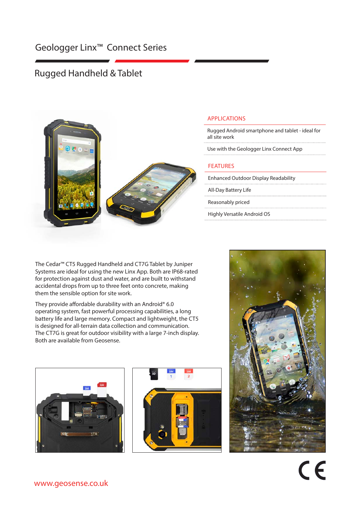## Geologger Linx™ Connect Series

### Rugged Handheld & Tablet



#### APPLICATIONS

Rugged Android smartphone and tablet - ideal for all site work

Use with the Geologger Linx Connect App

#### FEATURES

Enhanced Outdoor Display Readability

All-Day Battery Life

Reasonably priced

Highly Versatile Android OS

The Cedar™ CT5 Rugged Handheld and CT7G Tablet by Juniper Systems are ideal for using the new Linx App. Both are IP68-rated for protection against dust and water, and are built to withstand accidental drops from up to three feet onto concrete, making them the sensible option for site work.

They provide affordable durability with an Android® 6.0 operating system, fast powerful processing capabilities, a long battery life and large memory. Compact and lightweight, the CT5 is designed for all-terrain data collection and communication. The CT7G is great for outdoor visibility with a large 7-inch display. Both are available from Geosense.





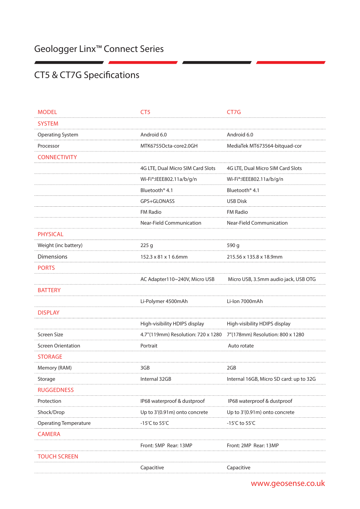## CT5 & CT7G Specifications

| <b>MODEL</b>                 | CT <sub>5</sub>                    | CT7G                                    |
|------------------------------|------------------------------------|-----------------------------------------|
| <b>SYSTEM</b>                |                                    |                                         |
| <b>Operating System</b>      | Android 6.0                        | Android 6.0                             |
| Processor                    | MTK6755Octa-core2.0GH              | MediaTek MT673564-bitquad-cor           |
| <b>CONNECTIVITY</b>          |                                    |                                         |
|                              | 4G LTE, Dual Micro SIM Card Slots  | 4G LTE, Dual Micro SIM Card Slots       |
|                              | Wi-Fi®:IEEE802.11a/b/g/n           | Wi-Fi <sup>®</sup> :IEEE802.11a/b/g/n   |
|                              | Bluetooth <sup>®</sup> 4.1         | Bluetooth <sup>®</sup> 4.1              |
|                              | GPS+GLONASS                        | <b>USB Disk</b>                         |
|                              | <b>FM Radio</b>                    | <b>FM Radio</b>                         |
|                              | Near-Field Communication           | Near-Field Communication                |
| <b>PHYSICAL</b>              |                                    |                                         |
| Weight (inc battery)         | 225g                               | 590 g                                   |
| <b>Dimensions</b>            | 152.3 x 81 x 1 6.6mm               | 215.56 x 135.8 x 18.9mm                 |
| <b>PORTS</b>                 |                                    |                                         |
|                              | AC Adapter110~240V, Micro USB      | Micro USB, 3.5mm audio jack, USB OTG    |
| <b>BATTERY</b>               |                                    |                                         |
|                              | Li-Polymer 4500mAh                 | Li-Ion 7000mAh                          |
| <b>DISPLAY</b>               |                                    |                                         |
|                              | High-visibility HDIPS display      | High-visibility HDIPS display           |
| <b>Screen Size</b>           | 4.7"(119mm) Resolution: 720 x 1280 | 7"(178mm) Resolution: 800 x 1280        |
| <b>Screen Orientation</b>    | Portrait                           | Auto rotate                             |
| <b>STORAGE</b>               |                                    |                                         |
| Memory (RAM)                 | 3GB                                | 2GB                                     |
| Storage                      | Internal 32GB                      | Internal 16GB, Micro SD card: up to 32G |
| <b>RUGGEDNESS</b>            |                                    |                                         |
| Protection                   | IP68 waterproof & dustproof        | IP68 waterproof & dustproof             |
| Shock/Drop                   | Up to 3'(0.91m) onto concrete      | Up to 3'(0.91m) onto concrete           |
| <b>Operating Temperature</b> | -15°C to 55°C                      | -15℃ to 55℃                             |
| <b>CAMERA</b>                |                                    |                                         |
|                              | Front: 5MP Rear: 13MP              | Front: 2MP Rear: 13MP                   |
| <b>TOUCH SCREEN</b>          |                                    |                                         |
|                              | Capacitive                         | Capacitive                              |